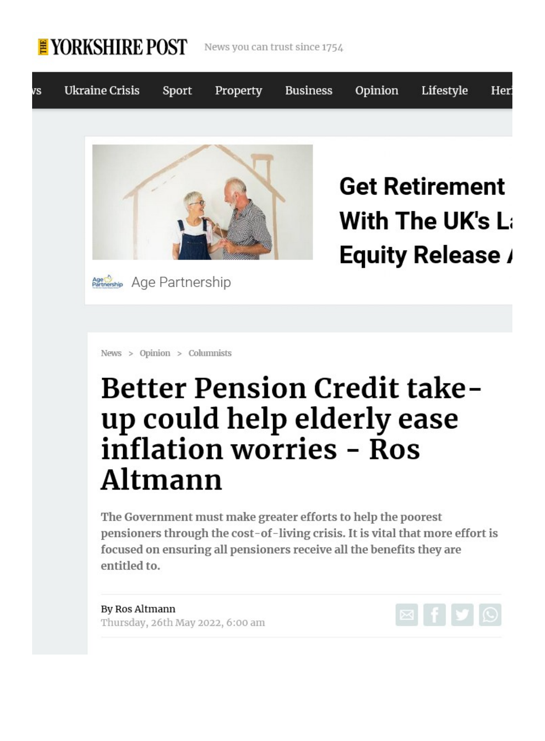

News you can trust since 1754



With The UK's La **Equity Release /** 

[News](https://www.yorkshirepost.co.uk/news) > [Opinion](https://www.yorkshirepost.co.uk/news/opinion) > Columnists

Age Arthership Age Partnership

## Better Pension Credit takeup could help elderly ease inflation worries - Ros Altmann

The Government must make greater efforts to help the poorest pensioners through the cost-of-living crisis. It is vital that more effort is focused on ensuring all pensioners receive all the benefits they are entitled to.

By Ros Altmann Thursday, 26th May 2022, 6:00 am

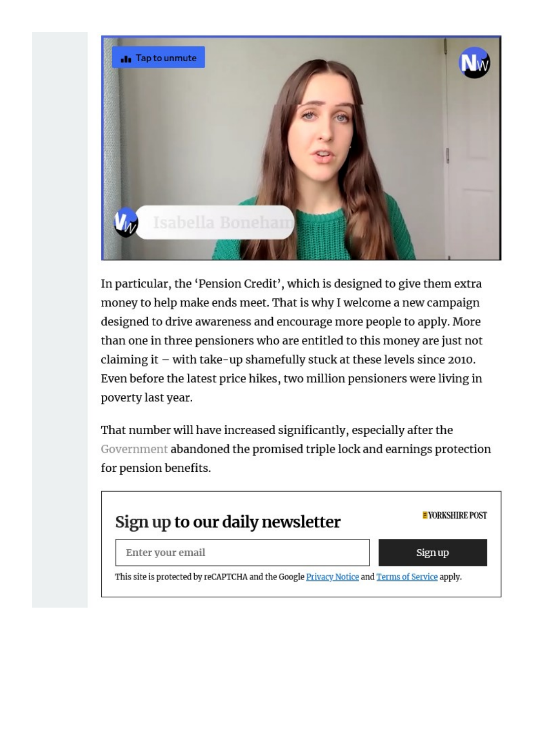

In particular, the 'Pension Credit', which is designed to give them extra money to help make ends meet. That is why I welcome a new campaign designed to drive awareness and encourage more people to apply. More than one in three pensioners who are entitled to this money are just not claiming it – with take-up shamefully stuck at these levels since 2010. Even before the latest price hikes, two million pensioners were living in poverty last year.

That number will have increased significantly, especially after the [Government](https://www.yorkshirepost.co.uk/topic/government) abandoned the promised triple lock and earnings protection for pension benefits.

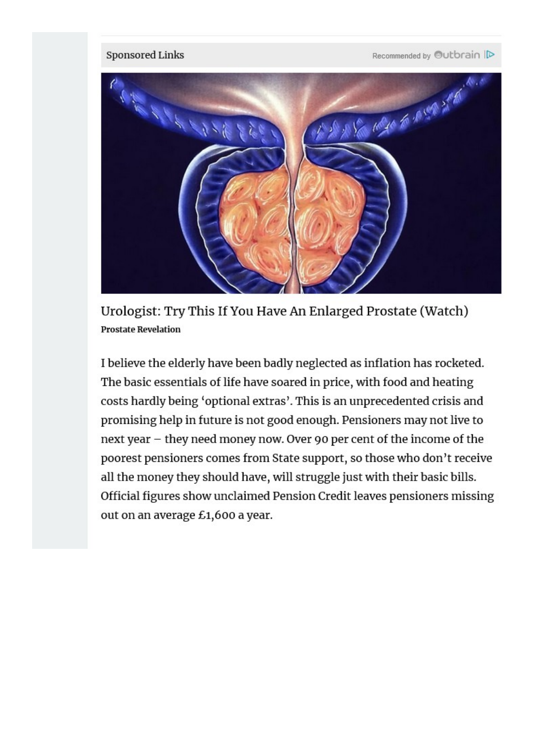

Urologist: Try This If [You Have An Enlarged Prostate \(Watch\)](https://shefence-citional.com/cdd55719-3e6c-466e-a431-863d9038d123?utm_source=ob&utm_campaign=0522_deskfully&utm_term=$section_name$&utm_content=005222438db480f27c47948035e9424948-Urologist%3A+Try+This+If+You+Have+An+Enlarged+Prostate+%28Watch%29&t=$ob_click_id$&a=ob&obOrigUrl=true)  Prostate Revelation

<sup>I</sup>believe the elderly have been badly neglected as inflation has rocketed. The basic essentials of life have soared in price, with food and heating costs hardly being 'optional extras'. This is an unprecedented crisis and promising help in future is not good enough. Pensioners may not live to next year – they need money now. Over 90 per cent of the income of the poorest pensioners comes from State support, so those who don't receive all the money they should have, will struggle just with their basic bills. Official figures show unclaimed Pension Credit leaves pensioners missing out on an average £1,600 a year.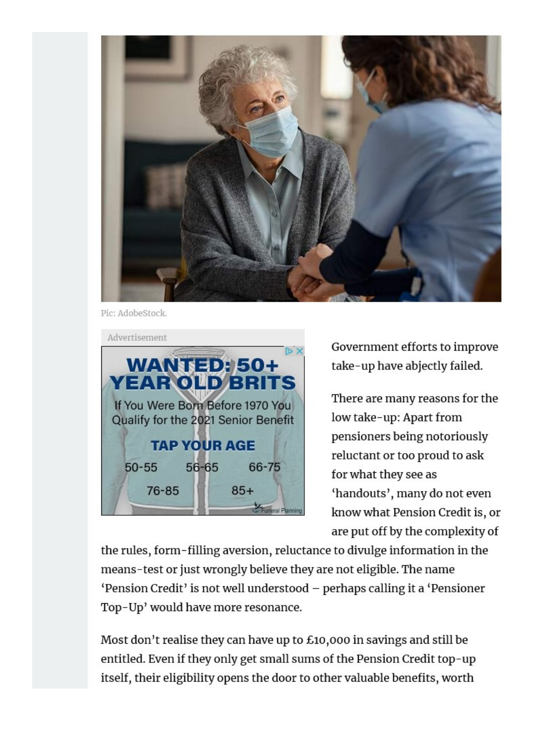

Pic: AdobeStock.

| Advertisement                       |       |       |
|-------------------------------------|-------|-------|
|                                     |       |       |
| <b>WANTED: 50+</b>                  |       |       |
| <b>YEAR OLD BRITS</b>               |       |       |
| If You Were Born Before 1970 You    |       |       |
| Qualify for the 2021 Senior Benefit |       |       |
|                                     |       |       |
| <b>TAP YOUR AGE</b>                 |       |       |
| $50 - 55$                           | 56-65 | 66-75 |
|                                     |       |       |
| 76-85                               |       | $85+$ |
|                                     |       |       |

Government efforts to improve take-up have abjectly failed.

There are many reasons for the low take-up: Apart from pensioners being notoriously reluctant or too proud to ask for what they see as 'handouts', many do not even know what Pension Credit is, or are put off by the complexity of

the rules, form-filling aversion, reluctance to divulge information in the means-test or just wrongly believe they are not eligible. The name 'Pension Credit' is not well understood – perhaps calling it <sup>a</sup>'Pensioner Top-Up' would have more resonance.

Most don't realise they can have up to £10,000 in savings and still be entitled. Even if they only get small sums of the Pension Credit top-up itself, their eligibility opens the door to other valuable benefits, worth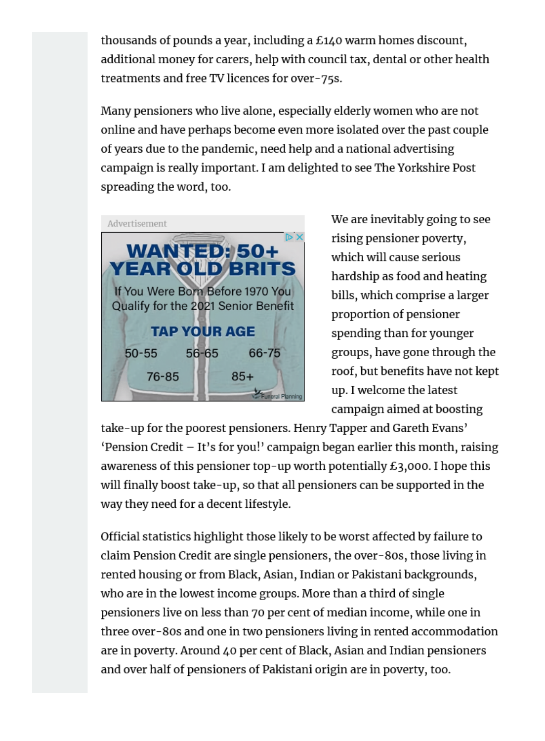thousands of pounds a year, including a £140 warm homes discount, additional money for carers, help with council tax, dental or other health treatments and free TV licences for over-75s.

Many pensioners who live alone, especially elderly women who are not online and have perhaps become even more isolated over the past couple of years due to the pandemic, need help and a national advertising campaign is really important. I am delighted to see The Yorkshire Post spreading the word, too.



We are inevitably going to see rising pensioner poverty, which will cause serious hardship as food and heating bills, which comprise a larger proportion of pensioner spending than for younger groups, have gone through the roof, but benefits have not kept up. I welcome the latest campaign aimed at boosting

take-up for the poorest pensioners. Henry Tapper and Gareth Evans' 'Pension Credit – It's for you!' campaign began earlier this month, raising awareness of this pensioner top-up worth potentially £3,000. I hope this will finally boost take-up, so that all pensioners can be supported in the way they need for a decent lifestyle.

Official statistics highlight those likely to be worst affected by failure to claim Pension Credit are single pensioners, the over-80s, those living in rented housing or from Black, Asian, Indian or Pakistani backgrounds, who are in the lowest income groups. More than a third of single pensioners live on less than 70 per cent of median income, while one in three over-80s and one in two pensioners living in rented accommodation are in poverty. Around 40 per cent of Black, Asian and Indian pensioners and over half of pensioners of Pakistani origin are in poverty, too.